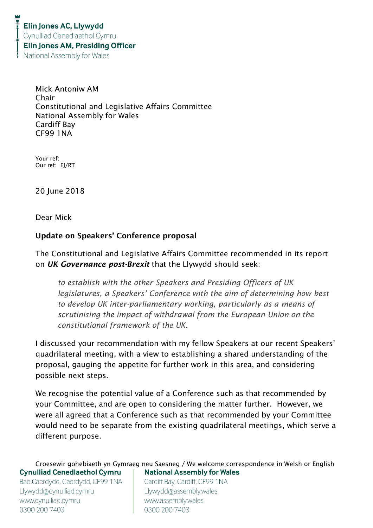Mick Antoniw AM Chair Constitutional and Legislative Affairs Committee National Assembly for Wales Cardiff Bay CF99 1NA

Your ref: Our ref: EJ/RT

20 June 2018

Dear Mick

## Update on Speakers' Conference proposal

The Constitutional and Legislative Affairs Committee recommended in its report on *UK Governance post-Brexit* that the Llywydd should seek:

*to establish with the other Speakers and Presiding Officers of UK legislatures, a Speakers' Conference with the aim of determining how best to develop UK inter-parliamentary working, particularly as a means of scrutinising the impact of withdrawal from the European Union on the constitutional framework of the UK.*

I discussed your recommendation with my fellow Speakers at our recent Speakers' quadrilateral meeting, with a view to establishing a shared understanding of the proposal, gauging the appetite for further work in this area, and considering possible next steps.

We recognise the potential value of a Conference such as that recommended by your Committee, and are open to considering the matter further. However, we were all agreed that a Conference such as that recommended by your Committee would need to be separate from the existing quadrilateral meetings, which serve a different purpose.

Croesewir gohebiaeth yn Gymraeg neu Saesneg / We welcome correspondence in Welsh or English **Cynulliad Cenedlaethol Cymru National Assembly for Wales** Bae Caerdydd, Caerdydd, CF99 1NA Cardiff Bay, Cardiff, CF99 1NA

Llywydd@cynulliad.cymru www.cynulliad.cymru 0300 200 7403

Llywydd@assembly.wales www.assembly.wales 0300 200 7403